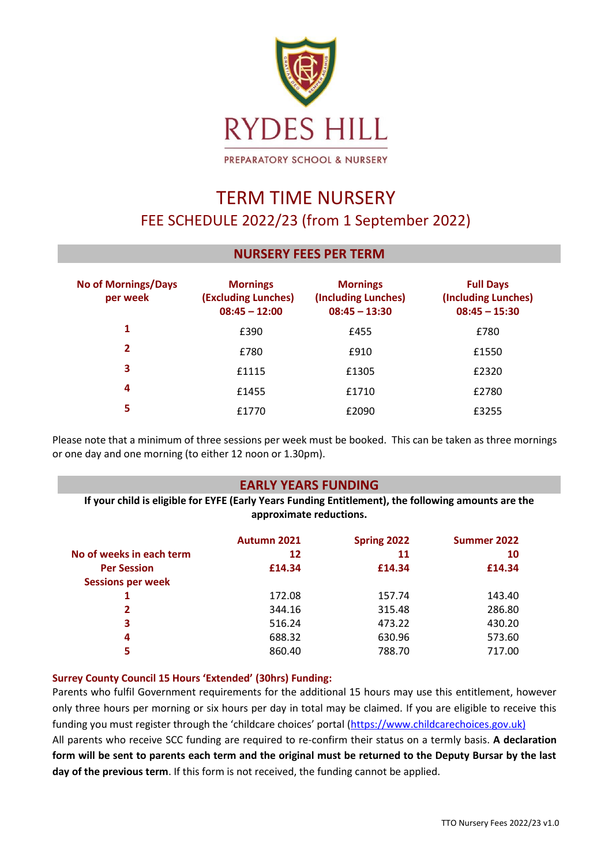

# TERM TIME NURSERY FEE SCHEDULE 2022/23 (from 1 September 2022)

# **NURSERY FEES PER TERM**

| <b>No of Mornings/Days</b><br>per week | <b>Mornings</b><br>(Excluding Lunches)<br>$08:45 - 12:00$ | <b>Mornings</b><br>(Including Lunches)<br>$08:45 - 13:30$ | <b>Full Days</b><br>(Including Lunches)<br>$08:45 - 15:30$ |
|----------------------------------------|-----------------------------------------------------------|-----------------------------------------------------------|------------------------------------------------------------|
| 1                                      | £390                                                      | £455                                                      | £780                                                       |
| 2                                      | £780                                                      | £910                                                      | £1550                                                      |
| 3                                      | £1115                                                     | £1305                                                     | £2320                                                      |
| 4                                      | £1455                                                     | £1710                                                     | £2780                                                      |
| 5                                      | £1770                                                     | £2090                                                     | £3255                                                      |

Please note that a minimum of three sessions per week must be booked. This can be taken as three mornings or one day and one morning (to either 12 noon or 1.30pm).

# **EARLY YEARS FUNDING**

**If your child is eligible for EYFE (Early Years Funding Entitlement), the following amounts are the approximate reductions.** 

|                          | Autumn 2021 | Spring 2022 | Summer 2022 |
|--------------------------|-------------|-------------|-------------|
| No of weeks in each term | 12          | 11          | 10          |
| <b>Per Session</b>       | £14.34      | £14.34      | £14.34      |
| <b>Sessions per week</b> |             |             |             |
|                          | 172.08      | 157.74      | 143.40      |
| 2                        | 344.16      | 315.48      | 286.80      |
| 3                        | 516.24      | 473.22      | 430.20      |
| 4                        | 688.32      | 630.96      | 573.60      |
| 5                        | 860.40      | 788.70      | 717.00      |

# **Surrey County Council 15 Hours 'Extended' (30hrs) Funding:**

Parents who fulfil Government requirements for the additional 15 hours may use this entitlement, however only three hours per morning or six hours per day in total may be claimed. If you are eligible to receive this funding you must register through the 'childcare choices' portal ([https://www.childcarechoices.gov.uk\)](https://www.childcarechoices.gov.uk/) All parents who receive SCC funding are required to re-confirm their status on a termly basis. **A declaration form will be sent to parents each term and the original must be returned to the Deputy Bursar by the last day of the previous term**. If this form is not received, the funding cannot be applied.